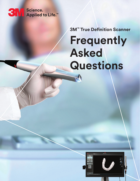

**3M™ True Definition Scanner**

# **Frequently Asked Questions**

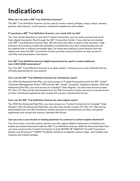# **Indications**

#### **What can I do with a 3M™ True Definition Scanner?**

The 3M™ True Definition Scanner can be used to create: crowns, bridges, inlays, onlays, veneers, partials, clear aligners, mouth guards, orthodontic appliances and models.

#### **If I purchase a 3M™ True Definition Scanner, can I work with my lab?**

Yes. Your dental laboratory is your first Trusted Connection; you can easily and securely send them digital impression files through the 3M™ Connection Center. If your lab has not worked with 3M™ True Definition Scanner files, 3M will work with them to assist in the transition. High precision SLA working models are available to complement your lab's craftsmanship and can be ordered with or without removable dies. For those labs wishing to work directly with the digital scan data, the 3M™ Connection Center provides a secure location for easy access to case files and prescription information.

#### **Can 3M™ True Definition Scanner digital impressions be used to create traditional (non-CAD/CAM) restorations?**

Yes. The 3M™ True Definition Scanner is an open system—allowing you to use materials that are clinically appropriate for your patient.

#### **Can I use the 3M™ True Definition Scanner for orthodontic cases?**

Yes. With the Standard Data Plan, you have access to Trusted Connections with the 3M™ Unitek™ Treatment Management Portal | TMP and the 3M™ Unitek™ Incognito™ Appliance System. With the Advanced Data Plan, you have access to Invisalign® Clear Aligners. You also have access to open STL files. STL files can be downloaded from the 3M Connection Center and sent to manufacturers of other orthodontic appliances who accept this industry-standard file format.

#### **Can I use the 3M™ True Definition Scanner for clear aligner cases?**

Yes. With the Advanced Data Plan, you have access to a Trusted Connection to Invisalign® Clear Aligners. With the Advanced Data Plan, you also have access to open STL files. STL files can be downloaded from the 3M Connection Center and sent to manufacturers of other orthodontic appliances who accept this industry-standard file format.

#### **Can you scan a scan locator or healing abutment to construct a custom implant abutment?**

Yes. As an open, accurate system, doctors can also capture digital impressions of implant scan bodies and seated abutments with the 3M™ True Definition Scanner. With the Advanced Data Plan, you have access to the Trusted Connection to both BIOMET *3i*™ BellaTek® Encode® Impression System and Straumann® CARES® Prosthetic Solutions to digitally restore single- and multiple-unit implants and implant bridges.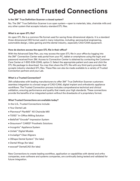# **Open and Trusted Connections**

#### **Is the 3M™ True Definition Scanner a closed system?**

No. The 3M™ True Definition Scanner is an open system—open to materials, labs, chairside mills and any other system that accepts industry-standard STL files.

#### **What is an open STL file?**

An open STL file is a common file format used for saving three-dimensional objects. It is a standard three-dimensional (3D) format used in many industries, including: aeronautical engineering, automobile design, video gaming and the dental industry, especially CAD/CAM equipment.

#### **How do doctors access the open STL file in their office?**

With the Advanced Data Plan, you may access the open STL file in your office by logging into the 3M™ Connection Center web portal from your PC, tablet or smartphone using the login and password received from 3M. Access to Connection Center is obtained by contacting the Customer Care Center at 1-800-634-2249, option 3. Select the appropriate patient and case and click the STL file package to download. You may then share the STL file with any third-party provider that accepts industry-standard STL files. These files can also be made available to a variety of Trusted Connection partners and your Lab.

#### **What is a Trusted Connection?**

3M collaborates with leading manufacturers to offer 3M™ True Definition Scanner customers seamless integration to a broad range of CAD/CAM, digital implant and orthodontic appliance workflows. The Trusted Connection process includes comprehensive technical and clinical validation, ensuring performance and quality that meets your high standards. These connections provide the benefits of an integrated system without the drawbacks of a proprietary format.

#### **What Trusted Connections are available today?**

In the U.S., Trusted Connections include:

- Your Dental Lab
- Planmeca® PlanMill™ 40 Chairside Mill
- TS150™ In-Office Milling Solution
- BellaTek® Encode® Impression System
- Straumann® CARES® Prosthetic Solutions
- Incognito™ Appliance System
- Unitek™ Digital Models
- Invisalign® Clear Aligners
- 3Shape Dental System™ (for labs)
- Dental Wings (for labs)
- exocad® DentalCAD (for labs)

New Connections to create leading workflow, application or capabilities with dental and ortho companies, even software and systems companies, are continually being tested and validated for future integration.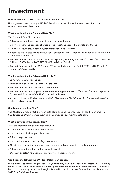## **Investment**

#### **How much does the 3M™ True Definition Scanner cost?**

U.S. suggested retail pricing is \$15,995. Dentists can also choose between two affordable, subscription-based data plans.

#### **What is included in the Standard Data Plan?**

The Standard Data Plan includes:

- All software updates, improvements and many new features
- Unlimited scans (no per scan charges or click fees) and secure file transfers to the lab
- Unlimited secure cloud-based digital impression/model storage
- Access to the Trusted Model Production Connection for SLA models which can be used to create traditional restorations
- Trusted Connection to in-office CAD/CAM systems, including Planmeca® PlanMill™ 40 Chairside Mill and IOS Technologies' TS150™ In-Office Milling Solution
- Trusted Connection to the 3M™ Unitek™ Treatment Management Portal | TMP and 3M™ Unitek™ Incognito™ Appliance System

#### **What is included in the Advanced Data Plan?**

The Advanced Data Plan includes:

- Everything available in the Standard Data Plan
- Trusted Connection to Invisalign® Clear Aligners
- Trusted Connection to implant workflows including the BIOMET *3i*™ BellaTek® Encode Impression System and Straumann® CARES® Prosthetic Solutions
- Access to download industry-standard STL files from the 3M™ Connection Center to share with other third party providers

#### **Can I change my Data Plan?**

Yes. Customers may switch between data plans once per calendar year by sending an email to truedefscanner@mmm.com requesting an upgrade to your monthly data plan.

#### **What is covered in the Service Plan?**

After the first year, the Service Plan includes:

- Comprehensive: all parts and labor included
- Unlimited technical support via phone
- Priority response time
- Unlimited phone and remote diagnostic support
- On-site visits, including labor and travel, when a problem cannot be resolved remotely
- All parts needed to return system to working order
- Discount on select new equipment / hardware upgrade offerings

#### **Can I get a model with the 3M™ True Definition Scanner?**

While many labs are working model-free, your lab may routinely order a high-precision SLA working model. If you would like to receive a working or control model for an in-office procedure, such as a bleach tray, you may order one through a Trusted Model Production Connection directly from your 3M™ True Definition Scanner.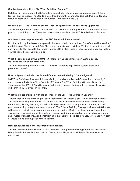#### **Can I get models with the 3M™ True Definition Scanner?**

3M does not manufacture the SLA models. Some high-volume labs are equipped to print them for their own purposes. The Standard Data Plan (for dentists) and Standard Lab Package (for labs) include access to a Trusted Model Production Connection in the U.S.

#### **If I have a 3M™ True Definition Scanner, how do I get software updates and upgrades?**

Software upgrades and updates are included as part of the monthly Standard and Advanced data plans at no additional cost. These are downloaded directly on the 3M™ True Definition Scanner.

#### **Are there scan or export fees with the 3M™ True Definition Scanner?**

No. Both subscription-based data plans include unlimited scans, uploads/transfers, and impression/ model storage. The Advanced Data Plan allows dentists to export their STL files to send to any thirdparty provider that accepts the industry-standard STL files. These STL files can be made available to your lab regardless of your data plan.

#### **What if I only do one or two BIOMET** *3i* **™ BellaTek® Encode Impression System cases? Do I need the Advanced Data Plan?**

You may choose to perform BIOMET *3i*™ BellaTek® Encode Impression System cases on a pay-per-case basis.

#### **How do I get started with the Trusted Connection to Invisalign® Clear Aligners?**

3M™ True Definition Scanner clinicians wishing to enable the Trusted Connection to Invisalign® must complete Invisalign Clear Essentials 1 Training, 3M™ True Definition Scanner New User Training and the 3M Full Arch Scanning Certification Process. To begin this process, please visit 3M.com/TrueDef/Invisalign to enroll.

#### **What training is provided with the purchase of the 3M™ True Definition Scanner?**

3M provides 1.5 days of training for each account that purchases a 3M™ True Definition Scanner. The first half-day (approximately 2–4 hours) is to focus on device understanding and scanning competency. During this time, you will review basic scan skills, scan path and protocol, and will practice scanning on typodonts and your staff. The Clinical Training Day (approximately 6–8 hours) will focus on clinical scanning competency and integration. During this time, you will scan three in vivo patient cases and complete single unit cases. In addition, you will review the lab prescription and Trusted Connections. Additional training is available for a fee, for instance, as you add new staff or would like re-training or advanced training.

#### **How can I purchase a 3M™ True Definition Scanner?**

The 3M™ True Definition Scanner is sold in the U.S. through the following authorized distributors: Henry Schein, Benco, Burkhart, Jensen Dental, Nashville, Atlanta, Midwest, Newark, Goetze and others.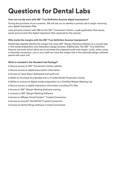# **Questions for Dental Labs**

#### **How can my lab work with 3M™ True Definition Scanner digital impressions?**

During the purchase of your scanner, 3M will ask you to identify a primary lab to begin receiving your digital impression files.

Labs primarily interact with 3M via the 3M™ Connection Center, a web application that stores, sends and converts the digital impression files captured by the scanner.

#### **Who marks the margins with the 3M™ True Definition Scanner impressions?**

Dental labs digitally identify the margin line using 3M™ Margin Marking software as a crucial step in the model preparation and restoration design process. Additionally, the 3M™ True Definition Scanner has tools which allow you to annotate the prepared tooth and margin. Lastly, when using a chairside connection, you or your staff can trace the margin line in the chairside design software paired with each mill.

#### **What is included in the Standard Lab Package?**

- Secure access to 3M™ Connection Center website
- Secure access to digital prescription information
- Access to Case Status dashboard and audit trail
- Ability to Purchase SLA Models from a Trusted Model Production Center
- Ability to outsource digital model preparation to a Certified Margin Marking Lab
- Secure access to digital impression information including STL files
- Access to 3M™ Margin Marking Software training
- License to 3M™ Margin Marking Software
- Access to 3Shape Dental System™ Trusted Connection
- Access to exocad® DentalCAD Trusted Connection
- Access to Dental Wings Software Trusted Connection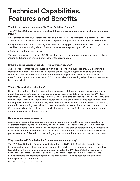### **Technical Capabilities, Features and Benefits**

#### **What do I get when I purchase a 3M™ True Definition Scanner?**

The 3M™ True Definition Scanner is built with best-in-class components for reliable performance, including:

- A workstation with touchscreen monitor on a mobile cart. The workstation is designed to meet the demands of professionals who work with large and complex datasets and intricate 3D models.
- A lightweight and robust scanning wand with no moving parts, low-intensity LEDs, a light sensor and lens, and supporting electronics—it connects to the system by a USB cable.
- Embedded software and firmware.

The system is supported by the 3M™ Connection Center, a secure and open cloud-based hub for storing and sharing unlimited digital scans without restriction.

#### **Is there a laptop version of the 3M™ True Definition Scanner?**

3M sales representatives are equipped with a laptop for demo purposes only. 3M has found a freestanding laptop is not practical for routine clinical use, forcing the clinician to purchase a supporting cart system or have the patient hold the laptop. Furthermore, the laptop would not meet 3M's stringent safety standards. 3M will always be at the leading edge of technology as they become available.

#### **What is 3D-in-Motion technology?**

3D-in-motion video technology generates a true replica of the oral anatomy with extraordinary detail. It captures 3D data in a video sequence and models the data in real time. The 3M™ True Definition Scanner can capture approximately 20 3D data sets per second—or close to 2,400 data sets per arch—for a high-speed, high-accuracy scan. This enables the user to scan images while moving the wand—and simultaneously view and control the scan on the touchscreen. In contrast, the traditional scanning method, which uses point-and-click technology, requires the wand to be first positioned and then held steady, at which point the user can initiate a single capture or the system automatically initiates the scan.

#### **How do you measure accuracy?**

Accuracy is measured by constructing a dental model which is calibrated very precisely on a coordinate measuring machine (CMM). We then compare scans from the 3M™ True Definition Scanner and competitive scanners of this model against the precise reference. Any discrepancies in the measurements taken from three or six points distributed on the model are expressed as a percentage error. This method is becoming a global standard for accuracy in the dental industry.

#### **Why does the 3M™ True Definition Scanner use a scanning spray?**

The 3M™ True Definition Scanner was designed to use 3M™ High-Resolution Scanning Spray to enhance the speed of capture, accuracy and affordability. The scanning spray is a proprietary formulation of titanium dioxide. Scanning spray enables the 3M™ True Definition Scanner to be the most accurate—and most consistently accurate—scanner on the market.<sup>1</sup> After the clinician retracts and isolates the patient, the light dusting is only 15 seconds in a one-hour crown preparation procedure.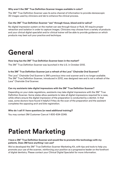#### **Why aren't the 3M™ True Definition Scanner images available in color?**

The 3M™ True Definition Scanner uses its extra channel of information to provide stereoscopic 3D images used by clinicians and lab to enhance the clinical process.

#### **Can the 3M™ True Definition Scanner "see" through tissue, blood and/or saliva?**

No digital impression system on the market can see through tissue or fluid. All require proper retraction and isolation in order to capture images. Clinicians may choose from a variety of products and your clinical digital specialist and/or clinical trainer will be able to provide guidance on which products may best suit your practice and technique.

### **General**

#### **How long has the 3M™ True Definition Scanner been in the market?**

The 3M™ True Definition Scanner was launched in the U.S. in October 2012.

#### **Is the 3M™ True Definition Scanner just a refresh of the Lava™ Chairside Oral Scanner?**

The Lava™ Chairside Oral Scanner is 3M's previous intra-oral scanner and is no longer available. The 3M™ True Definition Scanner, introduced in 2012, was designed new and is not a refresh of the Lava™ Chairside Oral Scanner.

#### **Can my assistants take digital impressions with the 3M™ True Definition Scanner?**

Depending on your state regulations, assistants may take digital impressions with the 3M™ True Definition Scanner. Some states allow assistants to take all digital impressions required for a case, while others ensure the digital impression of the preparation is conducted by a dentist. In that case, some doctors have found it helpful if they do the scan of the preparation and the assistant completes the opposing arch and bite registration.

#### **Who do I call if I have questions (or need additional training)?**

You may contact 3M Customer Care at 1-800-634-2249.

## **Patient Marketing**

#### **I have a 3M™ True Definition Scanner and would like to promote this technology with my patients. Does 3M have anything I can use?**

We've developed the 3M™ True Definition Scanner Marketing Kit, with tips and tools to help you promote your use of the scanner, reinforcing your position as a progressive leader on the forefront of digital dentistry. Please contact your Clinical Digital Specialist for more information.